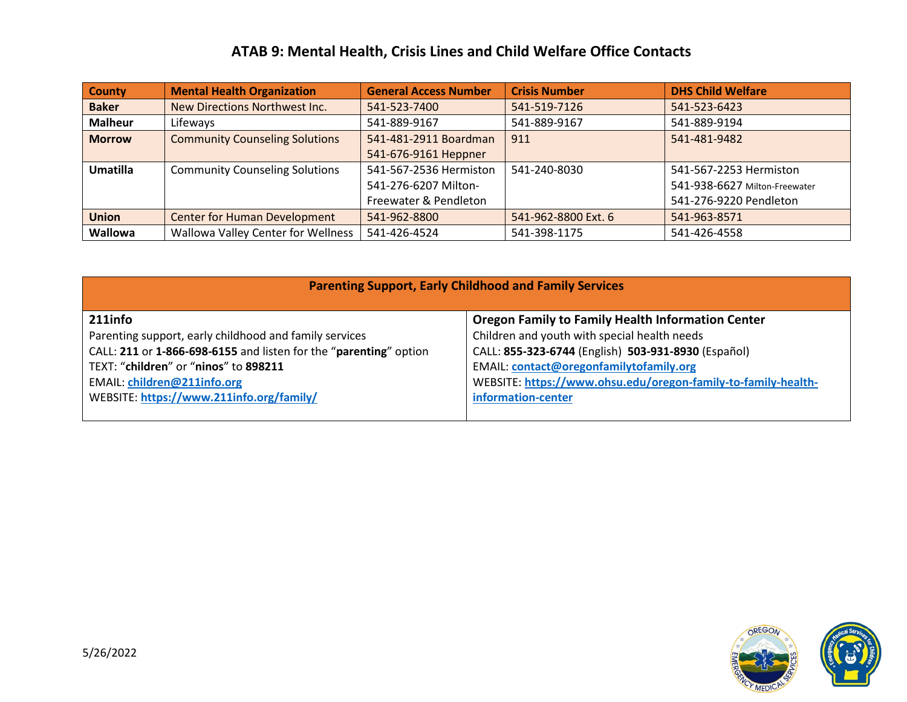## **ATAB 9: Mental Health, Crisis Lines and Child Welfare Office Contacts**

| <b>County</b>   | <b>Mental Health Organization</b>     | <b>General Access Number</b> | <b>Crisis Number</b> | <b>DHS Child Welfare</b>      |
|-----------------|---------------------------------------|------------------------------|----------------------|-------------------------------|
| <b>Baker</b>    | New Directions Northwest Inc.         | 541-523-7400                 | 541-519-7126         | 541-523-6423                  |
| <b>Malheur</b>  | Lifeways                              | 541-889-9167                 | 541-889-9167         | 541-889-9194                  |
| <b>Morrow</b>   | <b>Community Counseling Solutions</b> | 541-481-2911 Boardman        | 911                  | 541-481-9482                  |
|                 |                                       | 541-676-9161 Heppner         |                      |                               |
| <b>Umatilla</b> | <b>Community Counseling Solutions</b> | 541-567-2536 Hermiston       | 541-240-8030         | 541-567-2253 Hermiston        |
|                 |                                       | 541-276-6207 Milton-         |                      | 541-938-6627 Milton-Freewater |
|                 |                                       | Freewater & Pendleton        |                      | 541-276-9220 Pendleton        |
| <b>Union</b>    | <b>Center for Human Development</b>   | 541-962-8800                 | 541-962-8800 Ext. 6  | 541-963-8571                  |
| Wallowa         | Wallowa Valley Center for Wellness    | 541-426-4524                 | 541-398-1175         | 541-426-4558                  |

| <b>Parenting Support, Early Childhood and Family Services</b>     |                                                               |  |  |  |
|-------------------------------------------------------------------|---------------------------------------------------------------|--|--|--|
| 211info                                                           | <b>Oregon Family to Family Health Information Center</b>      |  |  |  |
| Parenting support, early childhood and family services            | Children and youth with special health needs                  |  |  |  |
| CALL: 211 or 1-866-698-6155 and listen for the "parenting" option | CALL: 855-323-6744 (English) 503-931-8930 (Español)           |  |  |  |
| TEXT: "children" or "ninos" to 898211                             | <b>EMAIL: contact@oregonfamilytofamily.org</b>                |  |  |  |
| <b>EMAIL: children@211info.org</b>                                | WEBSITE: https://www.ohsu.edu/oregon-family-to-family-health- |  |  |  |
| WEBSITE: https://www.211info.org/family/                          | information-center                                            |  |  |  |
|                                                                   |                                                               |  |  |  |